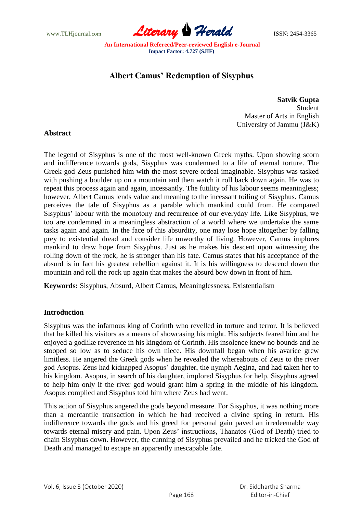www.TLHjournal.com **Literary Herald ISSN: 2454-3365** 

**An International Refereed/Peer-reviewed English e-Journal Impact Factor: 4.727 (SJIF)**

# **Albert Camus' Redemption of Sisyphus**

**Satvik Gupta** Student Master of Arts in English University of Jammu (J&K)

# **Abstract**

The legend of Sisyphus is one of the most well-known Greek myths. Upon showing scorn and indifference towards gods, Sisyphus was condemned to a life of eternal torture. The Greek god Zeus punished him with the most severe ordeal imaginable. Sisyphus was tasked with pushing a boulder up on a mountain and then watch it roll back down again. He was to repeat this process again and again, incessantly. The futility of his labour seems meaningless; however, Albert Camus lends value and meaning to the incessant toiling of Sisyphus. Camus perceives the tale of Sisyphus as a parable which mankind could from. He compared Sisyphus' labour with the monotony and recurrence of our everyday life. Like Sisyphus, we too are condemned in a meaningless abstraction of a world where we undertake the same tasks again and again. In the face of this absurdity, one may lose hope altogether by falling prey to existential dread and consider life unworthy of living. However, Camus implores mankind to draw hope from Sisyphus. Just as he makes his descent upon witnessing the rolling down of the rock, he is stronger than his fate. Camus states that his acceptance of the absurd is in fact his greatest rebellion against it. It is his willingness to descend down the mountain and roll the rock up again that makes the absurd bow down in front of him.

**Keywords:** Sisyphus, Absurd, Albert Camus, Meaninglessness, Existentialism

# **Introduction**

Sisyphus was the infamous king of Corinth who revelled in torture and terror. It is believed that he killed his visitors as a means of showcasing his might. His subjects feared him and he enjoyed a godlike reverence in his kingdom of Corinth. His insolence knew no bounds and he stooped so low as to seduce his own niece. His downfall began when his avarice grew limitless. He angered the Greek gods when he revealed the whereabouts of Zeus to the river god Asopus. Zeus had kidnapped Asopus' daughter, the nymph Aegina, and had taken her to his kingdom. Asopus, in search of his daughter, implored Sisyphus for help. Sisyphus agreed to help him only if the river god would grant him a spring in the middle of his kingdom. Asopus complied and Sisyphus told him where Zeus had went.

This action of Sisyphus angered the gods beyond measure. For Sisyphus, it was nothing more than a mercantile transaction in which he had received a divine spring in return. His indifference towards the gods and his greed for personal gain paved an irredeemable way towards eternal misery and pain. Upon Zeus' instructions, Thanatos (God of Death) tried to chain Sisyphus down. However, the cunning of Sisyphus prevailed and he tricked the God of Death and managed to escape an apparently inescapable fate.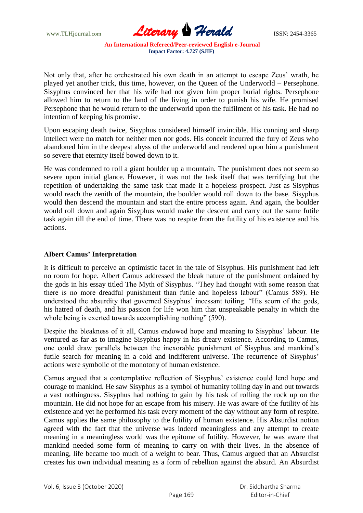www.TLHjournal.com **Literary Herald Herald ISSN: 2454-3365** 

**An International Refereed/Peer-reviewed English e-Journal Impact Factor: 4.727 (SJIF)**

Not only that, after he orchestrated his own death in an attempt to escape Zeus' wrath, he played yet another trick, this time, however, on the Queen of the Underworld – Persephone. Sisyphus convinced her that his wife had not given him proper burial rights. Persephone allowed him to return to the land of the living in order to punish his wife. He promised Persephone that he would return to the underworld upon the fulfilment of his task. He had no intention of keeping his promise.

Upon escaping death twice, Sisyphus considered himself invincible. His cunning and sharp intellect were no match for neither men nor gods. His conceit incurred the fury of Zeus who abandoned him in the deepest abyss of the underworld and rendered upon him a punishment so severe that eternity itself bowed down to it.

He was condemned to roll a giant boulder up a mountain. The punishment does not seem so severe upon initial glance. However, it was not the task itself that was terrifying but the repetition of undertaking the same task that made it a hopeless prospect. Just as Sisyphus would reach the zenith of the mountain, the boulder would roll down to the base. Sisyphus would then descend the mountain and start the entire process again. And again, the boulder would roll down and again Sisyphus would make the descent and carry out the same futile task again till the end of time. There was no respite from the futility of his existence and his actions.

# **Albert Camus' Interpretation**

It is difficult to perceive an optimistic facet in the tale of Sisyphus. His punishment had left no room for hope. Albert Camus addressed the bleak nature of the punishment ordained by the gods in his essay titled The Myth of Sisyphus. "They had thought with some reason that there is no more dreadful punishment than futile and hopeless labour" (Camus 589). He understood the absurdity that governed Sisyphus' incessant toiling. "His scorn of the gods, his hatred of death, and his passion for life won him that unspeakable penalty in which the whole being is exerted towards accomplishing nothing" (590).

Despite the bleakness of it all, Camus endowed hope and meaning to Sisyphus' labour. He ventured as far as to imagine Sisyphus happy in his dreary existence. According to Camus, one could draw parallels between the inexorable punishment of Sisyphus and mankind's futile search for meaning in a cold and indifferent universe. The recurrence of Sisyphus' actions were symbolic of the monotony of human existence.

Camus argued that a contemplative reflection of Sisyphus' existence could lend hope and courage to mankind. He saw Sisyphus as a symbol of humanity toiling day in and out towards a vast nothingness. Sisyphus had nothing to gain by his task of rolling the rock up on the mountain. He did not hope for an escape from his misery. He was aware of the futility of his existence and yet he performed his task every moment of the day without any form of respite. Camus applies the same philosophy to the futility of human existence. His Absurdist notion agreed with the fact that the universe was indeed meaningless and any attempt to create meaning in a meaningless world was the epitome of futility. However, he was aware that mankind needed some form of meaning to carry on with their lives. In the absence of meaning, life became too much of a weight to bear. Thus, Camus argued that an Absurdist creates his own individual meaning as a form of rebellion against the absurd. An Absurdist